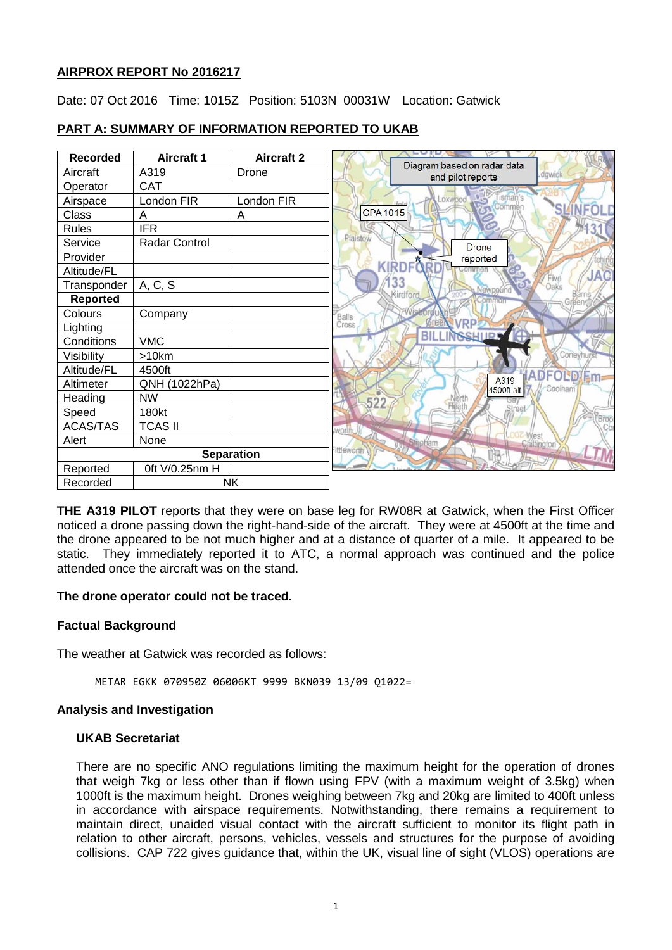## **AIRPROX REPORT No 2016217**

Date: 07 Oct 2016 Time: 1015Z Position: 5103N 00031W Location: Gatwick

| <b>Recorded</b>   | <b>Aircraft 1</b>    | <b>Aircraft 2</b> |                |                                                  |
|-------------------|----------------------|-------------------|----------------|--------------------------------------------------|
| Aircraft          | A319                 | Drone             |                | Diagram based on radar data<br>and pilot reports |
| Operator          | <b>CAT</b>           |                   |                |                                                  |
| Airspace          | London FIR           | London FIR        |                | OXWDOC<br>Common                                 |
| Class             | Α                    | A                 | <b>CPA1015</b> |                                                  |
| <b>Rules</b>      | <b>IFR</b>           |                   |                |                                                  |
| Service           | <b>Radar Control</b> |                   | Plaistow       | <b>Drone</b>                                     |
| Provider          |                      |                   |                | reported<br><b>Ypr</b>                           |
| Altitude/FL       |                      |                   | KIR            | <b>DFN</b>                                       |
| Transponder       | A, C, S              |                   |                | 33<br>Newpou                                     |
| <b>Reported</b>   |                      |                   |                | Kirdford                                         |
| Colours           | Company              |                   | Balls          |                                                  |
| Lighting          |                      |                   | Cross          | <b>VRP!</b>                                      |
| Conditions        | <b>VMC</b>           |                   |                | <b>BILLINGSHILPS</b>                             |
| Visibility        | >10km                |                   |                |                                                  |
| Altitude/FL       | 4500ft               |                   |                |                                                  |
| Altimeter         | QNH (1022hPa)        |                   |                | A319<br><b>4500ft</b> alt                        |
| Heading           | <b>NW</b>            |                   | 522            |                                                  |
| Speed             | 180kt                |                   |                |                                                  |
| <b>ACAS/TAS</b>   | <b>TCAS II</b>       |                   | <b>MOL</b>     |                                                  |
| Alert             | None                 |                   |                | Stopham                                          |
| <b>Separation</b> |                      | ittleworth        |                |                                                  |
| Reported          | 0ft V/0.25nm H       |                   |                |                                                  |
| Recorded          | <b>NK</b>            |                   |                |                                                  |

# **PART A: SUMMARY OF INFORMATION REPORTED TO UKAB**

**THE A319 PILOT** reports that they were on base leg for RW08R at Gatwick, when the First Officer noticed a drone passing down the right-hand-side of the aircraft. They were at 4500ft at the time and the drone appeared to be not much higher and at a distance of quarter of a mile. It appeared to be static. They immediately reported it to ATC, a normal approach was continued and the police attended once the aircraft was on the stand.

## **The drone operator could not be traced.**

## **Factual Background**

The weather at Gatwick was recorded as follows:

METAR EGKK 070950Z 06006KT 9999 BKN039 13/09 Q1022=

#### **Analysis and Investigation**

#### **UKAB Secretariat**

There are no specific ANO regulations limiting the maximum height for the operation of drones that weigh 7kg or less other than if flown using FPV (with a maximum weight of 3.5kg) when 1000ft is the maximum height. Drones weighing between 7kg and 20kg are limited to 400ft unless in accordance with airspace requirements. Notwithstanding, there remains a requirement to maintain direct, unaided visual contact with the aircraft sufficient to monitor its flight path in relation to other aircraft, persons, vehicles, vessels and structures for the purpose of avoiding collisions. CAP 722 gives guidance that, within the UK, visual line of sight (VLOS) operations are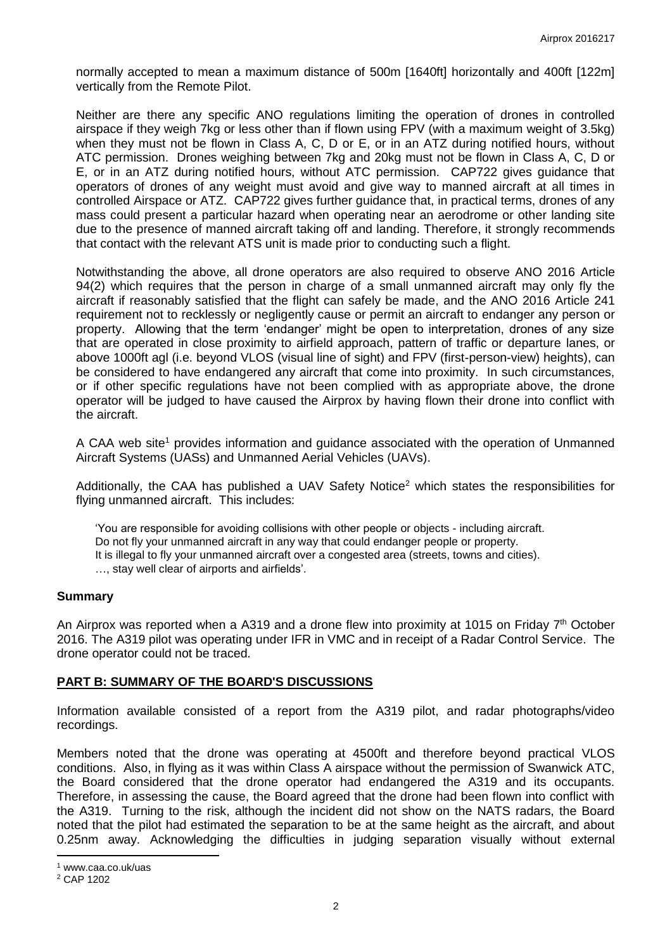normally accepted to mean a maximum distance of 500m [1640ft] horizontally and 400ft [122m] vertically from the Remote Pilot.

Neither are there any specific ANO regulations limiting the operation of drones in controlled airspace if they weigh 7kg or less other than if flown using FPV (with a maximum weight of 3.5kg) when they must not be flown in Class A, C, D or E, or in an ATZ during notified hours, without ATC permission. Drones weighing between 7kg and 20kg must not be flown in Class A, C, D or E, or in an ATZ during notified hours, without ATC permission. CAP722 gives guidance that operators of drones of any weight must avoid and give way to manned aircraft at all times in controlled Airspace or ATZ. CAP722 gives further guidance that, in practical terms, drones of any mass could present a particular hazard when operating near an aerodrome or other landing site due to the presence of manned aircraft taking off and landing. Therefore, it strongly recommends that contact with the relevant ATS unit is made prior to conducting such a flight.

Notwithstanding the above, all drone operators are also required to observe ANO 2016 Article 94(2) which requires that the person in charge of a small unmanned aircraft may only fly the aircraft if reasonably satisfied that the flight can safely be made, and the ANO 2016 Article 241 requirement not to recklessly or negligently cause or permit an aircraft to endanger any person or property. Allowing that the term 'endanger' might be open to interpretation, drones of any size that are operated in close proximity to airfield approach, pattern of traffic or departure lanes, or above 1000ft agl (i.e. beyond VLOS (visual line of sight) and FPV (first-person-view) heights), can be considered to have endangered any aircraft that come into proximity. In such circumstances, or if other specific regulations have not been complied with as appropriate above, the drone operator will be judged to have caused the Airprox by having flown their drone into conflict with the aircraft.

A CAA web site<sup>1</sup> provides information and quidance associated with the operation of Unmanned Aircraft Systems (UASs) and Unmanned Aerial Vehicles (UAVs).

Additionally, the CAA has published a UAV Safety Notice<sup>2</sup> which states the responsibilities for flying unmanned aircraft. This includes:

'You are responsible for avoiding collisions with other people or objects - including aircraft. Do not fly your unmanned aircraft in any way that could endanger people or property. It is illegal to fly your unmanned aircraft over a congested area (streets, towns and cities). …, stay well clear of airports and airfields'.

#### **Summary**

An Airprox was reported when a A319 and a drone flew into proximity at 1015 on Friday 7<sup>th</sup> October 2016. The A319 pilot was operating under IFR in VMC and in receipt of a Radar Control Service. The drone operator could not be traced.

#### **PART B: SUMMARY OF THE BOARD'S DISCUSSIONS**

Information available consisted of a report from the A319 pilot, and radar photographs/video recordings.

Members noted that the drone was operating at 4500ft and therefore beyond practical VLOS conditions. Also, in flying as it was within Class A airspace without the permission of Swanwick ATC, the Board considered that the drone operator had endangered the A319 and its occupants. Therefore, in assessing the cause, the Board agreed that the drone had been flown into conflict with the A319. Turning to the risk, although the incident did not show on the NATS radars, the Board noted that the pilot had estimated the separation to be at the same height as the aircraft, and about 0.25nm away. Acknowledging the difficulties in judging separation visually without external

 $\overline{\phantom{a}}$ 

<sup>1</sup> www.caa.co.uk/uas

<sup>2</sup> CAP 1202